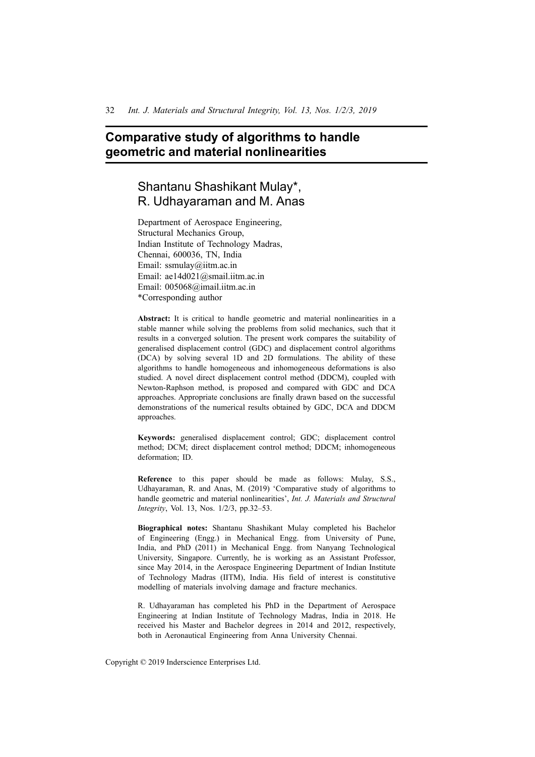# **Comparative study of algorithms to handle geometric and material nonlinearities**

# Shantanu Shashikant Mulay\*, R. Udhayaraman and M. Anas

Department of Aerospace Engineering, Structural Mechanics Group, Indian Institute of Technology Madras, Chennai, 600036, TN, India Email: ssmulay@iitm.ac.in Email: ae14d021@smail.iitm.ac.in Email: 005068@imail.iitm.ac.in \*Corresponding author

**Abstract:** It is critical to handle geometric and material nonlinearities in a stable manner while solving the problems from solid mechanics, such that it results in a converged solution. The present work compares the suitability of generalised displacement control (GDC) and displacement control algorithms (DCA) by solving several 1D and 2D formulations. The ability of these algorithms to handle homogeneous and inhomogeneous deformations is also studied. A novel direct displacement control method (DDCM), coupled with Newton-Raphson method, is proposed and compared with GDC and DCA approaches. Appropriate conclusions are finally drawn based on the successful demonstrations of the numerical results obtained by GDC, DCA and DDCM approaches.

**Keywords:** generalised displacement control; GDC; displacement control method; DCM; direct displacement control method; DDCM; inhomogeneous deformation; ID.

**Reference** to this paper should be made as follows: Mulay, S.S., Udhayaraman, R. and Anas, M. (2019) 'Comparative study of algorithms to handle geometric and material nonlinearities', *Int. J. Materials and Structural Integrity*, Vol. 13, Nos. 1/2/3, pp.32–53.

**Biographical notes:** Shantanu Shashikant Mulay completed his Bachelor of Engineering (Engg.) in Mechanical Engg. from University of Pune, India, and PhD (2011) in Mechanical Engg. from Nanyang Technological University, Singapore. Currently, he is working as an Assistant Professor, since May 2014, in the Aerospace Engineering Department of Indian Institute of Technology Madras (IITM), India. His field of interest is constitutive modelling of materials involving damage and fracture mechanics.

R. Udhayaraman has completed his PhD in the Department of Aerospace Engineering at Indian Institute of Technology Madras, India in 2018. He received his Master and Bachelor degrees in 2014 and 2012, respectively, both in Aeronautical Engineering from Anna University Chennai.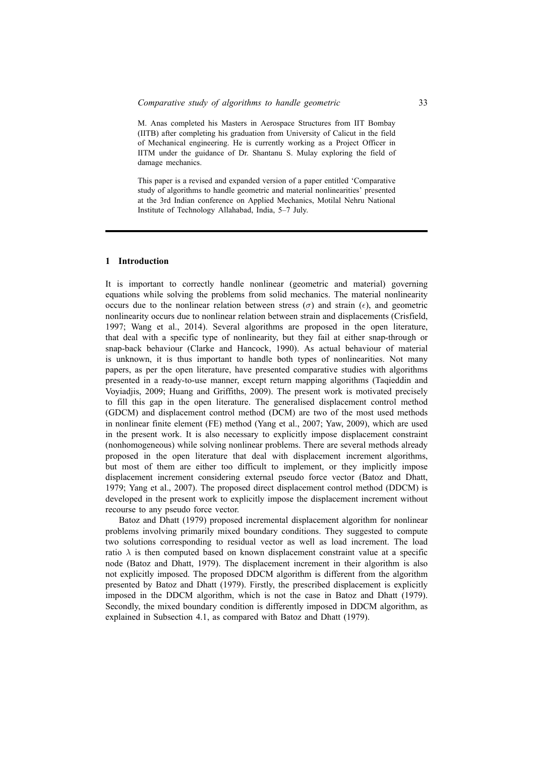M. Anas completed his Masters in Aerospace Structures from IIT Bombay (IITB) after completing his graduation from University of Calicut in the field of Mechanical engineering. He is currently working as a Project Officer in IITM under the guidance of Dr. Shantanu S. Mulay exploring the field of damage mechanics.

This paper is a revised and expanded version of a paper entitled 'Comparative study of algorithms to handle geometric and material nonlinearities' presented at the 3rd Indian conference on Applied Mechanics, Motilal Nehru National Institute of Technology Allahabad, India, 5–7 July.

#### **1 Introduction**

It is important to correctly handle nonlinear (geometric and material) governing equations while solving the problems from solid mechanics. The material nonlinearity occurs due to the nonlinear relation between stress ( $\sigma$ ) and strain ( $\epsilon$ ), and geometric nonlinearity occurs due to nonlinear relation between strain and displacements (Crisfield, 1997; Wang et al., 2014). Several algorithms are proposed in the open literature, that deal with a specific type of nonlinearity, but they fail at either snap-through or snap-back behaviour (Clarke and Hancock, 1990). As actual behaviour of material is unknown, it is thus important to handle both types of nonlinearities. Not many papers, as per the open literature, have presented comparative studies with algorithms presented in a ready-to-use manner, except return mapping algorithms (Taqieddin and Voyiadjis, 2009; Huang and Griffiths, 2009). The present work is motivated precisely to fill this gap in the open literature. The generalised displacement control method (GDCM) and displacement control method (DCM) are two of the most used methods in nonlinear finite element (FE) method (Yang et al., 2007; Yaw, 2009), which are used in the present work. It is also necessary to explicitly impose displacement constraint (nonhomogeneous) while solving nonlinear problems. There are several methods already proposed in the open literature that deal with displacement increment algorithms, but most of them are either too difficult to implement, or they implicitly impose displacement increment considering external pseudo force vector (Batoz and Dhatt, 1979; Yang et al., 2007). The proposed direct displacement control method (DDCM) is developed in the present work to explicitly impose the displacement increment without recourse to any pseudo force vector.

Batoz and Dhatt (1979) proposed incremental displacement algorithm for nonlinear problems involving primarily mixed boundary conditions. They suggested to compute two solutions corresponding to residual vector as well as load increment. The load ratio  $\lambda$  is then computed based on known displacement constraint value at a specific node (Batoz and Dhatt, 1979). The displacement increment in their algorithm is also not explicitly imposed. The proposed DDCM algorithm is different from the algorithm presented by Batoz and Dhatt (1979). Firstly, the prescribed displacement is explicitly imposed in the DDCM algorithm, which is not the case in Batoz and Dhatt (1979). Secondly, the mixed boundary condition is differently imposed in DDCM algorithm, as explained in Subsection 4.1, as compared with Batoz and Dhatt (1979).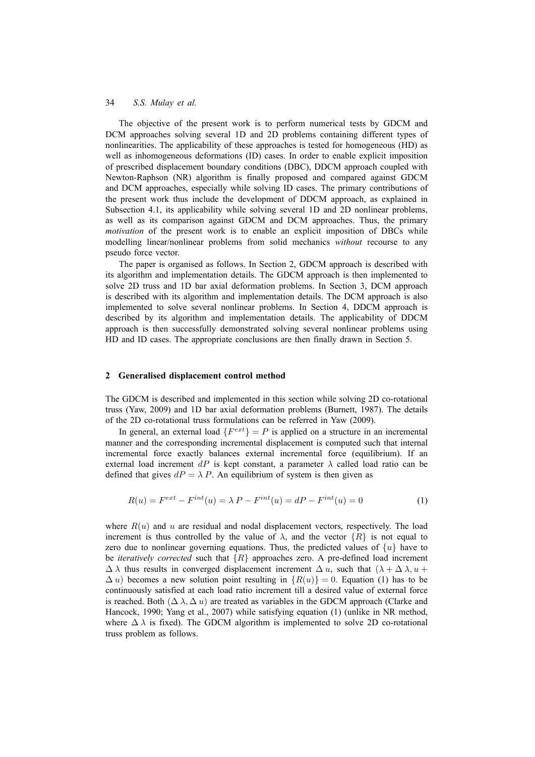The objective of the present work is to perform numerical tests by GDCM and DCM approaches solving several 1D and 2D problems containing different types of nonlinearities. The applicability of these approaches is tested for homogeneous (HD) as well as inhomogeneous deformations (ID) cases. In order to enable explicit imposition of prescribed displacement boundary conditions (DBC), DDCM approach coupled with Newton-Raphson (NR) algorithm is finally proposed and compared against GDCM and DCM approaches, especially while solving ID cases. The primary contributions of the present work thus include the development of DDCM approach, as explained in Subsection 4.1, its applicability while solving several 1D and 2D nonlinear problems, as well as its comparison against GDCM and DCM approaches. Thus, the primary *motivation* of the present work is to enable an explicit imposition of DBCs while modelling linear/nonlinear problems from solid mechanics *without* recourse to any pseudo force vector.

The paper is organised as follows. In Section 2, GDCM approach is described with its algorithm and implementation details. The GDCM approach is then implemented to solve 2D truss and 1D bar axial deformation problems. In Section 3, DCM approach is described with its algorithm and implementation details. The DCM approach is also implemented to solve several nonlinear problems. In Section 4, DDCM approach is described by its algorithm and implementation details. The applicability of DDCM approach is then successfully demonstrated solving several nonlinear problems using HD and ID cases. The appropriate conclusions are then finally drawn in Section 5.

#### **2 Generalised displacement control method**

The GDCM is described and implemented in this section while solving 2D co-rotational truss (Yaw, 2009) and 1D bar axial deformation problems (Burnett, 1987). The details of the 2D co-rotational truss formulations can be referred in Yaw (2009).

In general, an external load  $\{F^{ext}\}=P$  is applied on a structure in an incremental manner and the corresponding incremental displacement is computed such that internal incremental force exactly balances external incremental force (equilibrium). If an external load increment dP is kept constant, a parameter  $\lambda$  called load ratio can be defined that gives  $dP = \lambda P$ . An equilibrium of system is then given as

$$
R(u) = F^{ext} - F^{int}(u) = \lambda P - F^{int}(u) = dP - F^{int}(u) = 0
$$
\n(1)

where  $R(u)$  and u are residual and nodal displacement vectors, respectively. The load increment is thus controlled by the value of  $\lambda$ , and the vector  $\{R\}$  is not equal to zero due to nonlinear governing equations. Thus, the predicted values of  $\{u\}$  have to be *iteratively corrected* such that  $\{R\}$  approaches zero. A pre-defined load increment  $\Delta \lambda$  thus results in converged displacement increment  $\Delta u$ , such that  $(\lambda + \Delta \lambda, u + \Delta \lambda)$  $\Delta u$ ) becomes a new solution point resulting in  $\{R(u)\}=0$ . Equation (1) has to be continuously satisfied at each load ratio increment till a desired value of external force is reached. Both  $(\Delta \lambda, \Delta u)$  are treated as variables in the GDCM approach (Clarke and Hancock, 1990; Yang et al., 2007) while satisfying equation (1) (unlike in NR method, where  $\Delta \lambda$  is fixed). The GDCM algorithm is implemented to solve 2D co-rotational truss problem as follows.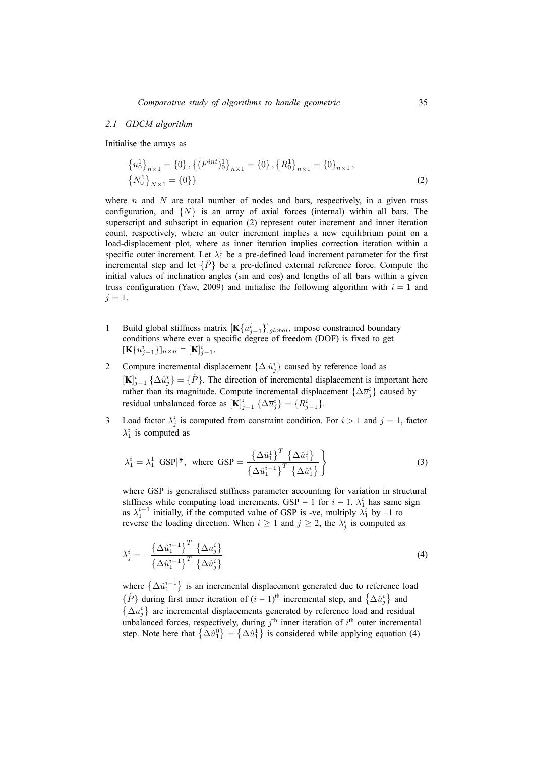#### *2.1 GDCM algorithm*

Initialise the arrays as

$$
\{u_0^1\}_{n\times 1} = \{0\}, \left\{(F^{int})_0^1\right\}_{n\times 1} = \{0\}, \left\{R_0^1\right\}_{n\times 1} = \{0\}_{n\times 1},
$$
  

$$
\left\{N_0^1\right\}_{N\times 1} = \{0\}\}
$$
 (2)

where n and N are total number of nodes and bars, respectively, in a given truss configuration, and  $\{N\}$  is an array of axial forces (internal) within all bars. The superscript and subscript in equation (2) represent outer increment and inner iteration count, respectively, where an outer increment implies a new equilibrium point on a load-displacement plot, where as inner iteration implies correction iteration within a specific outer increment. Let  $\lambda_1^1$  be a pre-defined load increment parameter for the first incremental step and let  $\{\hat{P}\}\$ be a pre-defined external reference force. Compute the initial values of inclination angles (sin and cos) and lengths of all bars within a given truss configuration (Yaw, 2009) and initialise the following algorithm with  $i = 1$  and  $j=1$ .

- 1 Build global stiffness matrix  $[\mathbf{K}\{u_{j-1}^i\}]_{global}$ , impose constrained boundary conditions where ever a specific degree of freedom (DOF) is fixed to get  $[\mathbf{K}\{u_{j-1}^i\}]_{n \times n} = [\mathbf{K}]_{j-1}^i$ .
- 2 Compute incremental displacement  $\{\Delta \hat{u}_j^i\}$  caused by reference load as  $[\mathbf{K}]_{j-1}^i \ \{\Delta \hat{u}_j^i\} = \{\hat{P}\}\$ . The direction of incremental displacement is important here rather than its magnitude. Compute incremental displacement  $\{\Delta \overline{u}_j^i\}$  caused by residual unbalanced force as  $[\mathbf{K}]_{j-1}^i \{ \Delta \overline{u}_j^i \} = \{ R_{j-1}^i \}.$
- 3 Load factor  $\lambda_j^i$  is computed from constraint condition. For  $i > 1$  and  $j = 1$ , factor  $\lambda_1^i$  is computed as

$$
\lambda_1^i = \lambda_1^1 |\text{GSP}|^{\frac{1}{2}}, \text{ where } \text{GSP} = \frac{\left\{\Delta \hat{u}_1^1\right\}^T \left\{\Delta \hat{u}_1^1\right\}}{\left\{\Delta \hat{u}_1^{i-1}\right\}^T \left\{\Delta \hat{u}_1^i\right\}} \tag{3}
$$

where GSP is generalised stiffness parameter accounting for variation in structural stiffness while computing load increments. GSP = 1 for  $i = 1$ .  $\lambda_1^i$  has same sign as  $\lambda_1^{i-1}$  initially, if the computed value of GSP is -ve, multiply  $\lambda_1^i$  by -1 to reverse the loading direction. When  $i \ge 1$  and  $j \ge 2$ , the  $\lambda_j^i$  is computed as

$$
\lambda_j^i = -\frac{\left\{\Delta \hat{u}_1^{i-1}\right\}^T \left\{\Delta \overline{u}_j^i\right\}}{\left\{\Delta \hat{u}_1^{i-1}\right\}^T \left\{\Delta \hat{u}_j^i\right\}}
$$
\n(4)

where  $\{\Delta \hat{u}_1^{i-1}\}\$  is an incremental displacement generated due to reference load  $\{\hat{P}\}\$  during first inner iteration of  $(i-1)$ <sup>th</sup> incremental step, and  $\{\Delta \hat{u}_j^i\}$  and  $\{\Delta \overline{u}_j^i\}$  are incremental displacements generated by reference load and residual unbalanced forces, respectively, during  $j<sup>th</sup>$  inner iteration of  $i<sup>th</sup>$  outer incremental step. Note here that  $\{\Delta \hat{u}_1^0\} = \{\Delta \hat{u}_1^1\}$  is considered while applying equation (4)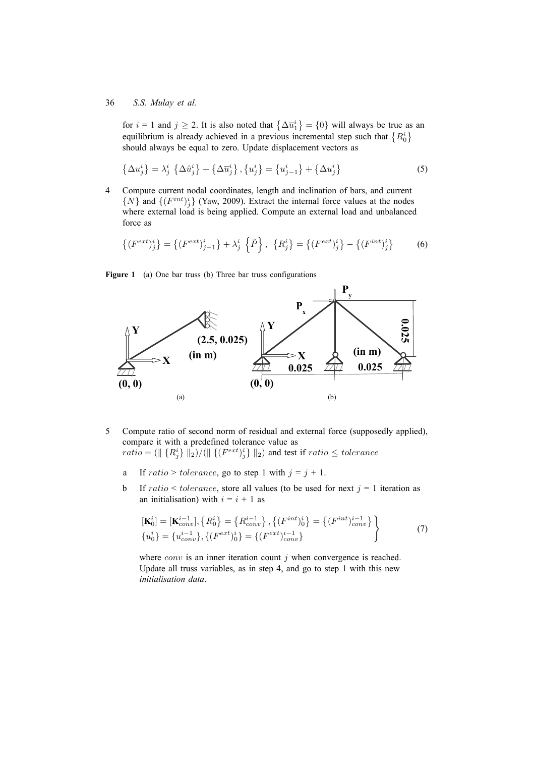for  $i = 1$  and  $j \ge 2$ . It is also noted that  $\{\Delta \overline{u}_1^i\} = \{0\}$  will always be true as an equilibrium is already achieved in a previous incremental step such that  $\{R_0^i\}$ should always be equal to zero. Update displacement vectors as

$$
\{\Delta u_j^i\} = \lambda_j^i \{\Delta \hat{u}_j^i\} + \{\Delta \overline{u}_j^i\}, \{u_j^i\} = \{u_{j-1}^i\} + \{\Delta u_j^i\}
$$
 (5)

4 Compute current nodal coordinates, length and inclination of bars, and current  $\{N\}$  and  $\{(F^{int})^i_j\}$  (Yaw, 2009). Extract the internal force values at the nodes where external load is being applied. Compute an external load and unbalanced force as

$$
\{(F^{ext})_j^i\} = \{(F^{ext})_{j-1}^i\} + \lambda_j^i \{\hat{P}\}, \{R_j^i\} = \{(F^{ext})_j^i\} - \{(F^{int})_j^i\}
$$
 (6)

Figure 1 (a) One bar truss (b) Three bar truss configurations



- 5 Compute ratio of second norm of residual and external force (supposedly applied), compare it with a predefined tolerance value as  $\mathit{ratio} = (\| \{R^i_j\} \|_2) / (\| \{ (F^{ext})^i_j\} \|_2)$  and test if  $\mathit{ratio} \leq \mathit{tolerance}$ 
	- a If ratio > tolerance, go to step 1 with  $j = j + 1$ .
	- b If ratio  $\leq$  tolerance, store all values (to be used for next  $j = 1$  iteration as an initialisation) with  $i = i + 1$  as

$$
\begin{aligned}\n[\mathbf{K}_0^i] &= [\mathbf{K}_{conv}^{i-1}], \{R_0^i\} = \{R_{conv}^{i-1}\}, \{(F^{int})_0^i\} = \{(F^{int})_{conv}^{i-1}\} \\
\{u_0^i\} &= \{u_{conv}^{i-1}\}, \{(F^{ext})_0^i\} = \{(F^{ext})_{conv}^{i-1}\}\n\end{aligned}\n\tag{7}
$$

where  $conv$  is an inner iteration count  $j$  when convergence is reached. Update all truss variables, as in step 4, and go to step 1 with this new *initialisation data*.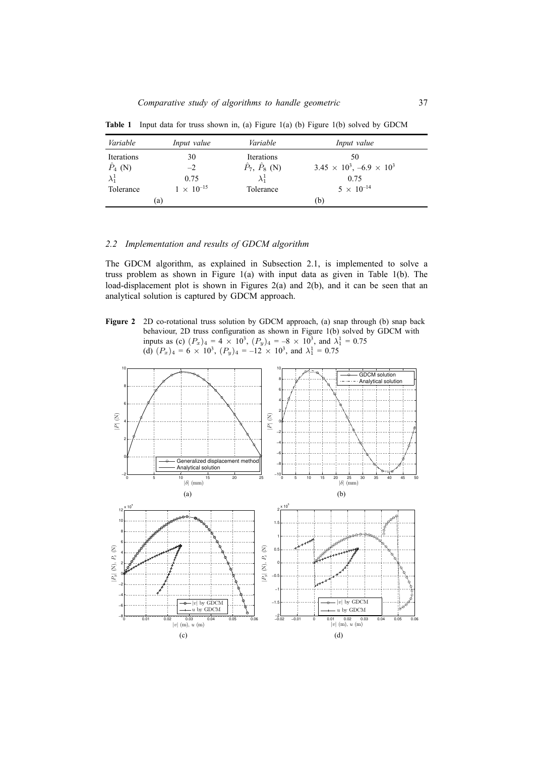| Variable        | Input value         | Variable                   | Input value                             |
|-----------------|---------------------|----------------------------|-----------------------------------------|
| Iterations      | 30                  | Iterations                 | 50                                      |
| $\hat{P}_4$ (N) | $-2$                | $\hat{P}_7, \hat{P}_8$ (N) | $3.45 \times 10^3$ , $-6.9 \times 10^3$ |
| $\lambda_1^1$   | 0.75                | $\lambda_1^1$              | 0.75                                    |
| Tolerance       | $1 \times 10^{-15}$ | Tolerance                  | $5 \times 10^{-14}$                     |
|                 | (a)                 |                            | (b)                                     |

**Table 1** Input data for truss shown in, (a) Figure 1(a) (b) Figure 1(b) solved by GDCM

### *2.2 Implementation and results of GDCM algorithm*

The GDCM algorithm, as explained in Subsection 2.1, is implemented to solve a truss problem as shown in Figure 1(a) with input data as given in Table 1(b). The load-displacement plot is shown in Figures 2(a) and 2(b), and it can be seen that an analytical solution is captured by GDCM approach.

Figure 2 2D co-rotational truss solution by GDCM approach, (a) snap through (b) snap back behaviour, 2D truss configuration as shown in Figure 1(b) solved by GDCM with inputs as (c)  $(P_x)_4 = 4 \times 10^3$ ,  $(P_y)_4 = -8 \times 10^3$ , and  $\lambda_1^1 = 0.75$ (d)  $(P_x)_4 = 6 \times 10^3$ ,  $(P_y)_4 = -12 \times 10^3$ , and  $\lambda_1^1 = 0.75$ 

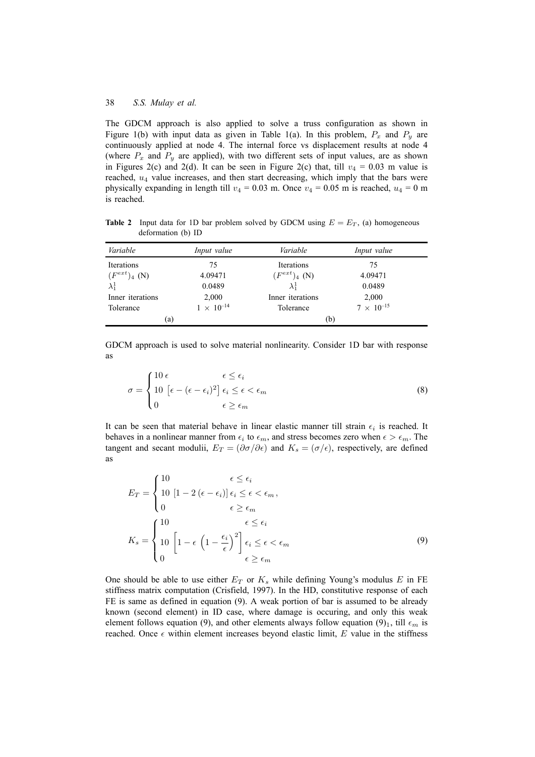The GDCM approach is also applied to solve a truss configuration as shown in Figure 1(b) with input data as given in Table 1(a). In this problem,  $P_x$  and  $P_y$  are continuously applied at node 4. The internal force vs displacement results at node 4 (where  $P_x$  and  $P_y$  are applied), with two different sets of input values, are as shown in Figures 2(c) and 2(d). It can be seen in Figure 2(c) that, till  $v_4 = 0.03$  m value is reached,  $u_4$  value increases, and then start decreasing, which imply that the bars were physically expanding in length till  $v_4 = 0.03$  m. Once  $v_4 = 0.05$  m is reached,  $u_4 = 0$  m is reached.

**Table 2** Input data for 1D bar problem solved by GDCM using  $E = E_T$ , (a) homogeneous deformation (b) ID

| Variable          | Input value         | Variable          | Input value         |
|-------------------|---------------------|-------------------|---------------------|
| Iterations        | 75                  | Iterations        | 75                  |
| $(F^{ext})_4$ (N) | 4.09471             | $(F^{ext})_4$ (N) | 4.09471             |
| $\lambda_1^1$     | 0.0489              | $\lambda_1^1$     | 0.0489              |
| Inner iterations  | 2,000               | Inner iterations  | 2,000               |
| Tolerance         | $1 \times 10^{-14}$ | Tolerance         | $7 \times 10^{-15}$ |
| (a)               |                     | (b)               |                     |

GDCM approach is used to solve material nonlinearity. Consider 1D bar with response as

$$
\sigma = \begin{cases} 10 \epsilon & \epsilon \le \epsilon_i \\ 10 \left[ \epsilon - (\epsilon - \epsilon_i)^2 \right] \epsilon_i \le \epsilon < \epsilon_m \\ 0 & \epsilon \ge \epsilon_m \end{cases} \tag{8}
$$

It can be seen that material behave in linear elastic manner till strain  $\epsilon_i$  is reached. It behaves in a nonlinear manner from  $\epsilon_i$  to  $\epsilon_m$ , and stress becomes zero when  $\epsilon > \epsilon_m$ . The tangent and secant modulii,  $E_T = (\partial \sigma / \partial \epsilon)$  and  $K_s = (\sigma / \epsilon)$ , respectively, are defined as

$$
E_T = \begin{cases} 10 & \epsilon \le \epsilon_i \\ 10 [1 - 2 (\epsilon - \epsilon_i)] \epsilon_i \le \epsilon < \epsilon_m, \\ 0 & \epsilon \ge \epsilon_m \end{cases}
$$

$$
K_s = \begin{cases} 10 & \epsilon \le \epsilon_i \\ 10 [1 - \epsilon (1 - \frac{\epsilon_i}{\epsilon})^2] \epsilon_i \le \epsilon < \epsilon_m \\ 0 & \epsilon \ge \epsilon_m \end{cases}
$$
(9)

One should be able to use either  $E_T$  or  $K_s$  while defining Young's modulus E in FE stiffness matrix computation (Crisfield, 1997). In the HD, constitutive response of each FE is same as defined in equation (9). A weak portion of bar is assumed to be already known (second element) in ID case, where damage is occuring, and only this weak element follows equation (9), and other elements always follow equation (9)<sub>1</sub>, till  $\epsilon_m$  is reached. Once  $\epsilon$  within element increases beyond elastic limit, E value in the stiffness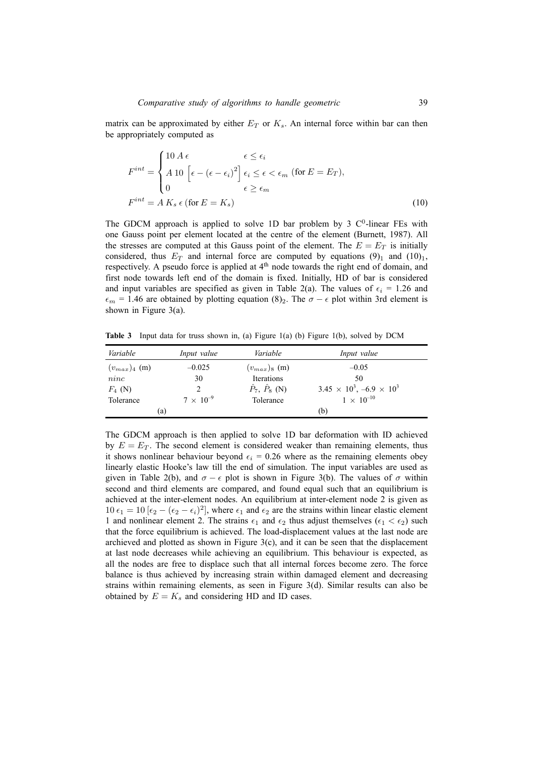matrix can be approximated by either  $E_T$  or  $K_s$ . An internal force within bar can then be appropriately computed as

$$
F^{int} = \begin{cases} 10 A \epsilon & \epsilon \le \epsilon_i \\ A 10 \left[ \epsilon - (\epsilon - \epsilon_i)^2 \right] \epsilon_i \le \epsilon < \epsilon_m \text{ (for } E = E_T), \\ 0 & \epsilon \ge \epsilon_m \end{cases}
$$

$$
F^{int} = A K_s \epsilon \text{ (for } E = K_s)
$$
(10)

The GDCM approach is applied to solve 1D bar problem by 3  $C<sup>0</sup>$ -linear FEs with one Gauss point per element located at the centre of the element (Burnett, 1987). All the stresses are computed at this Gauss point of the element. The  $E = E_T$  is initially considered, thus  $E_T$  and internal force are computed by equations (9)<sub>1</sub> and (10)<sub>1</sub>, respectively. A pseudo force is applied at  $4<sup>th</sup>$  node towards the right end of domain, and first node towards left end of the domain is fixed. Initially, HD of bar is considered and input variables are specified as given in Table 2(a). The values of  $\epsilon_i = 1.26$  and  $\epsilon_m$  = 1.46 are obtained by plotting equation (8)<sub>2</sub>. The  $\sigma - \epsilon$  plot within 3rd element is shown in Figure 3(a).

**Table 3** Input data for truss shown in, (a) Figure 1(a) (b) Figure 1(b), solved by DCM

| Variable          | Input value        | Variable                   | Input value                             |
|-------------------|--------------------|----------------------------|-----------------------------------------|
| $(v_{max})_4$ (m) | $-0.025$           | $(v_{max})_8$ (m)          | $-0.05$                                 |
| ninc              | 30                 | Iterations                 | 50                                      |
| $F_4$ (N)         |                    | $\hat{P}_7, \hat{P}_8$ (N) | $3.45 \times 10^3$ , $-6.9 \times 10^3$ |
| Tolerance         | $7 \times 10^{-9}$ | Tolerance                  | $1 \times 10^{-10}$                     |
|                   | (a)                |                            | (b)                                     |

The GDCM approach is then applied to solve 1D bar deformation with ID achieved by  $E = E_T$ . The second element is considered weaker than remaining elements, thus it shows nonlinear behaviour beyond  $\epsilon_i = 0.26$  where as the remaining elements obey linearly elastic Hooke's law till the end of simulation. The input variables are used as given in Table 2(b), and  $\sigma - \epsilon$  plot is shown in Figure 3(b). The values of  $\sigma$  within second and third elements are compared, and found equal such that an equilibrium is achieved at the inter-element nodes. An equilibrium at inter-element node 2 is given as 10  $\epsilon_1 = 10 \left[\epsilon_2 - (\epsilon_2 - \epsilon_i)^2\right]$ , where  $\epsilon_1$  and  $\epsilon_2$  are the strains within linear elastic element 1 and nonlinear element 2. The strains  $\epsilon_1$  and  $\epsilon_2$  thus adjust themselves ( $\epsilon_1 < \epsilon_2$ ) such that the force equilibrium is achieved. The load-displacement values at the last node are archieved and plotted as shown in Figure  $3(c)$ , and it can be seen that the displacement at last node decreases while achieving an equilibrium. This behaviour is expected, as all the nodes are free to displace such that all internal forces become zero. The force balance is thus achieved by increasing strain within damaged element and decreasing strains within remaining elements, as seen in Figure 3(d). Similar results can also be obtained by  $E = K_s$  and considering HD and ID cases.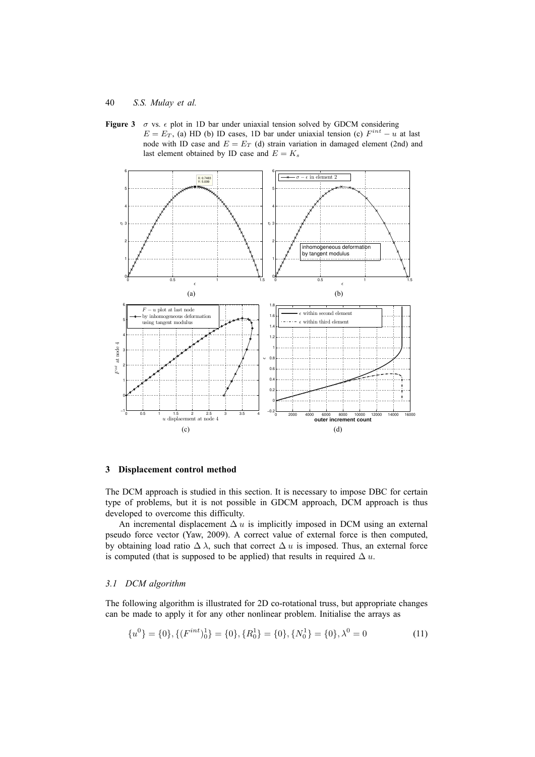



### **3 Displacement control method**

The DCM approach is studied in this section. It is necessary to impose DBC for certain type of problems, but it is not possible in GDCM approach, DCM approach is thus developed to overcome this difficulty.

An incremental displacement  $\Delta u$  is implicitly imposed in DCM using an external pseudo force vector (Yaw, 2009). A correct value of external force is then computed, by obtaining load ratio  $\Delta \lambda$ , such that correct  $\Delta u$  is imposed. Thus, an external force is computed (that is supposed to be applied) that results in required  $\Delta u$ .

### *3.1 DCM algorithm*

The following algorithm is illustrated for 2D co-rotational truss, but appropriate changes can be made to apply it for any other nonlinear problem. Initialise the arrays as

$$
\{u^0\} = \{0\}, \{(F^{int})_0^1\} = \{0\}, \{R_0^1\} = \{0\}, \{N_0^1\} = \{0\}, \lambda^0 = 0
$$
\n(11)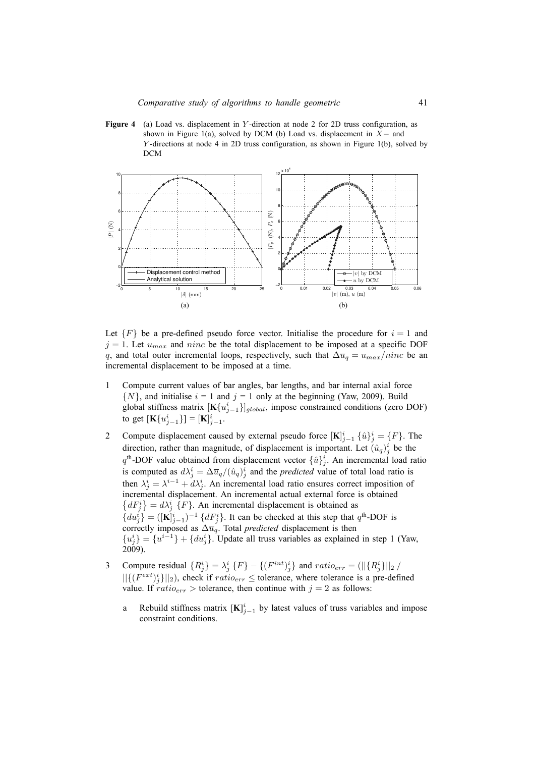**Figure 4** (a) Load vs. displacement in Y-direction at node 2 for 2D truss configuration, as shown in Figure 1(a), solved by DCM (b) Load vs. displacement in  $X-$  and Y -directions at node 4 in 2D truss configuration, as shown in Figure 1(b), solved by DCM



Let  $\{F\}$  be a pre-defined pseudo force vector. Initialise the procedure for  $i = 1$  and  $j = 1$ . Let  $u_{max}$  and ninc be the total displacement to be imposed at a specific DOF q, and total outer incremental loops, respectively, such that  $\Delta \overline{u}_q = u_{max}/ninc$  be an incremental displacement to be imposed at a time.

- 1 Compute current values of bar angles, bar lengths, and bar internal axial force  $\{N\}$ , and initialise  $i = 1$  and  $j = 1$  only at the beginning (Yaw, 2009). Build global stiffness matrix  $[\mathbf{K}\{u_{j-1}^i\}]_{global}$ , impose constrained conditions (zero DOF) to get  $[\mathbf{K} \{u_{j-1}^i\}] = [\mathbf{K}]_{j-1}^i$ .
- 2 Compute displacement caused by external pseudo force  $[\mathbf{K}]_{j-1}^i \{\hat{u}\}_{j}^i = \{F\}$ . The direction, rather than magnitude, of displacement is important. Let  $(\hat{u}_q)^i_j$  be the  $q^{\text{th}}$ -DOF value obtained from displacement vector  $\{\hat{u}\}_{j}^{i}$ . An incremental load ratio is computed as  $d\lambda_j^i = \Delta \overline{u}_q/(\hat{u}_q)_j^i$  and the *predicted* value of total load ratio is then  $\lambda_j^i = \lambda^{i-1} + d\lambda_j^i$ . An incremental load ratio ensures correct imposition of incremental displacement. An incremental actual external force is obtained  ${dF_j^i} = d\lambda_j^i$  {F}. An incremental displacement is obtained as  ${ \widetilde{ \left\{ du_j^i \right\}} = (\mathbf{[K]}_{j-1}^i)^{-1} \{ dF_j^i \} }$ . It can be checked at this step that  $q^{\text{th}}$ -DOF is correctly imposed as  $\Delta \overline{u}_q$ . Total *predicted* displacement is then  ${u_j^i} = {u^{i-1}} + {du_j^i}$ . Update all truss variables as explained in step 1 (Yaw, 2009).
- 3 Compute residual  $\{R_j^i\} = \lambda_j^i \{F\} \{ (F^{int})_j^i \}$  and  $ratio_{err} = (||{R_j^i}||_2)$  $||{ (F^{ext})_j^i}||_2$ , check if  $ratio_{err} \leq$  tolerance, where tolerance is a pre-defined value. If  $ratio_{err} >$  tolerance, then continue with  $j = 2$  as follows:
	- a Rebuild stiffness matrix  $[K]_{j-1}^i$  by latest values of truss variables and impose constraint conditions.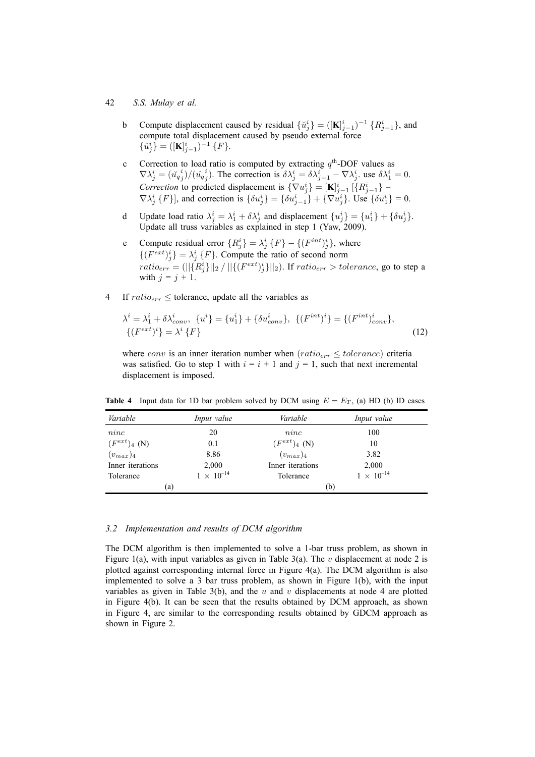- b Compute displacement caused by residual  $\{\check{u}_j^i\} = ([\mathbf{K}]_{j-1}^i)^{-1} \{R_{j-1}^i\}$ , and compute total displacement caused by pseudo external force  $\{\hat{u}_j^i\} = ([\mathbf{K}]_{j-1}^i)^{-1} \{F\}.$
- c Correction to load ratio is computed by extracting  $q<sup>th</sup>$ -DOF values as  $\nabla \lambda_j^i = (\check{u}_{qj}^i)/(\hat{u}_{qj}^i)$ . The correction is  $\delta \lambda_j^i = \delta \lambda_{j-1}^i - \nabla \lambda_j^i$  use  $\delta \lambda_1^i = 0$ . *Correction* to predicted displacement is  $\{\nabla u_j^i\} = [\mathbf{K}]_{j-1}^i$  [ $\{R_{j-1}^i\}$  –  $\nabla \lambda_j^i$  {F}], and correction is  $\{\delta u_j^i\} = \{\delta u_{j-1}^i\} + \{\nabla u_j^i\}$ . Use  $\{\delta u_1^i\} = 0$ .
- d Update load ratio  $\lambda_j^i = \lambda_1^i + \delta \lambda_j^i$  and displacement  $\{u_j^i\} = \{u_1^i\} + \{\delta u_j^i\}$ . Update all truss variables as explained in step 1 (Yaw, 2009).
- e Compute residual error  ${R_j^i} = \lambda_j^i$   $\{F\} {\{F^{int}}_j^i\}$ , where  $\{(F^{ext})_i^i\} = \lambda_i^i$  {F}. Compute the ratio of second norm  $\begin{aligned} \mathcal{L}(Y \mid Y) &= \lambda_j \ \mathcal{L} \mid Y \text{.} \end{aligned}$  Compute the ratio of second norm  $\text{ratio}_{err} = (||\{R_j^i\}||_2 / ||\{(F^{ext})_j^i\}||_2)$ . If  $\text{ratio}_{err} > \text{tolerance}$ , go to step a with  $j = j + 1$ .
- 4 If  $ratio_{err} \leq$  tolerance, update all the variables as

$$
\lambda^{i} = \lambda_{1}^{i} + \delta \lambda_{conv}^{i}, \ \{u^{i}\} = \{u_{1}^{i}\} + \{\delta u_{conv}^{i}\}, \ \{(F^{int})^{i}\} = \{(F^{int})_{conv}^{i}\}, \ \{(F^{ext})^{i}\} = \lambda^{i} \{F\}
$$
\n(12)

where *conv* is an inner iteration number when  $(ratio_{err} \leq tolerance)$  criteria was satisfied. Go to step 1 with  $i = i + 1$  and  $j = 1$ , such that next incremental displacement is imposed.

| Variable          | Input value         | Variable          | Input value         |
|-------------------|---------------------|-------------------|---------------------|
| ninc              | 20                  | ninc              | 100                 |
| $(F^{ext})_4$ (N) | 0.1                 | $(F^{ext})_4$ (N) | 10                  |
| $(v_{max})_4$     | 8.86                | $(v_{max})_4$     | 3.82                |
| Inner iterations  | 2,000               | Inner iterations  | 2,000               |
| Tolerance         | $1 \times 10^{-14}$ | Tolerance         | $1 \times 10^{-14}$ |
| (a)               |                     | (b)               |                     |

**Table 4** Input data for 1D bar problem solved by DCM using  $E = E_T$ , (a) HD (b) ID cases

#### *3.2 Implementation and results of DCM algorithm*

The DCM algorithm is then implemented to solve a 1-bar truss problem, as shown in Figure 1(a), with input variables as given in Table 3(a). The v displacement at node 2 is plotted against corresponding internal force in Figure 4(a). The DCM algorithm is also implemented to solve a 3 bar truss problem, as shown in Figure 1(b), with the input variables as given in Table 3(b), and the  $u$  and  $v$  displacements at node 4 are plotted in Figure 4(b). It can be seen that the results obtained by DCM approach, as shown in Figure 4, are similar to the corresponding results obtained by GDCM approach as shown in Figure 2.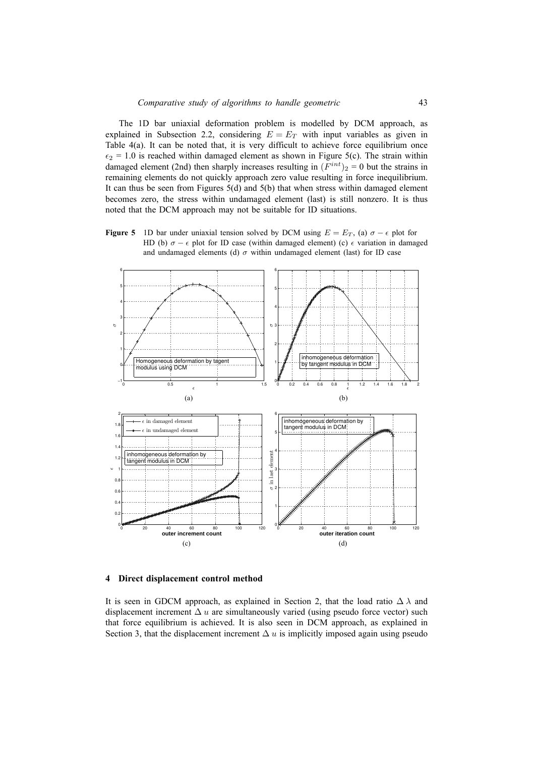The 1D bar uniaxial deformation problem is modelled by DCM approach, as explained in Subsection 2.2, considering  $E = E_T$  with input variables as given in Table 4(a). It can be noted that, it is very difficult to achieve force equilibrium once  $\epsilon_2$  = 1.0 is reached within damaged element as shown in Figure 5(c). The strain within damaged element (2nd) then sharply increases resulting in  $(F^{int})_2 = 0$  but the strains in remaining elements do not quickly approach zero value resulting in force inequilibrium. It can thus be seen from Figures 5(d) and 5(b) that when stress within damaged element becomes zero, the stress within undamaged element (last) is still nonzero. It is thus noted that the DCM approach may not be suitable for ID situations.

**Figure 5** 1D bar under uniaxial tension solved by DCM using  $E = E_T$ , (a)  $\sigma - \epsilon$  plot for HD (b)  $\sigma - \epsilon$  plot for ID case (within damaged element) (c)  $\epsilon$  variation in damaged and undamaged elements (d)  $\sigma$  within undamaged element (last) for ID case



### **4 Direct displacement control method**

It is seen in GDCM approach, as explained in Section 2, that the load ratio  $\Delta \lambda$  and displacement increment  $\Delta u$  are simultaneously varied (using pseudo force vector) such that force equilibrium is achieved. It is also seen in DCM approach, as explained in Section 3, that the displacement increment  $\Delta u$  is implicitly imposed again using pseudo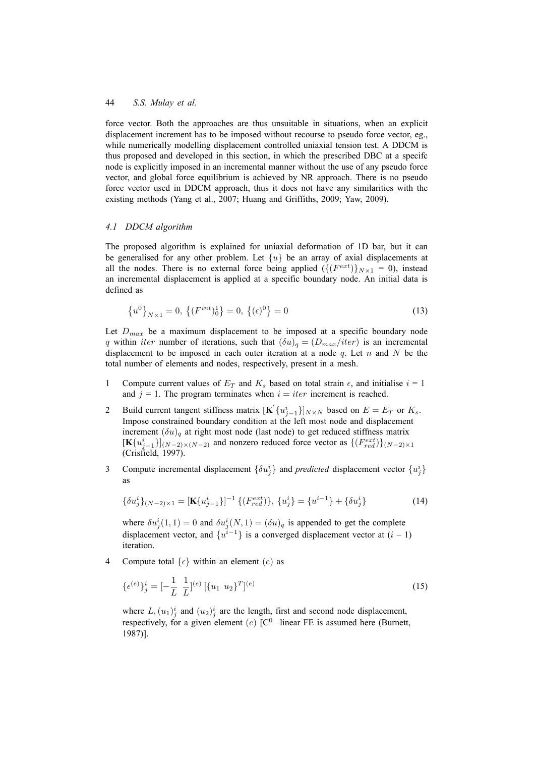force vector. Both the approaches are thus unsuitable in situations, when an explicit displacement increment has to be imposed without recourse to pseudo force vector, eg., while numerically modelling displacement controlled uniaxial tension test. A DDCM is thus proposed and developed in this section, in which the prescribed DBC at a specifc node is explicitly imposed in an incremental manner without the use of any pseudo force vector, and global force equilibrium is achieved by NR approach. There is no pseudo force vector used in DDCM approach, thus it does not have any similarities with the existing methods (Yang et al., 2007; Huang and Griffiths, 2009; Yaw, 2009).

#### *4.1 DDCM algorithm*

The proposed algorithm is explained for uniaxial deformation of 1D bar, but it can be generalised for any other problem. Let  $\{u\}$  be an array of axial displacements at all the nodes. There is no external force being applied  $({E^{ext}})_{N \times 1} = 0$ , instead an incremental displacement is applied at a specific boundary node. An initial data is defined as

$$
\{u^0\}_{N\times 1} = 0, \ \{(F^{int})_0^1\} = 0, \ \{(\epsilon)^0\} = 0 \tag{13}
$$

Let  $D_{max}$  be a maximum displacement to be imposed at a specific boundary node q within *iter* number of iterations, such that  $(\delta u)_q = (D_{max}/iter)$  is an incremental displacement to be imposed in each outer iteration at a node  $q$ . Let  $n$  and  $N$  be the total number of elements and nodes, respectively, present in a mesh.

- 1 Compute current values of  $E_T$  and  $K_s$  based on total strain  $\epsilon$ , and initialise  $i = 1$ and  $j = 1$ . The program terminates when  $i = iter$  increment is reached.
- 2 Build current tangent stiffness matrix  $[\mathbf{K}'\{u_{j-1}^i\}]_{N\times N}$  based on  $E = E_T$  or  $K_s$ . Impose constrained boundary condition at the left most node and displacement increment  $(\delta u)_q$  at right most node (last node) to get reduced stiffness matrix  $[\mathbf{K}\{u_{j-1}^i\}]_{(N-2)\times(N-2)}$  and nonzero reduced force vector as  $\{(F_{red}^{ext})\}_{(N-2)\times1}$ (Crisfield, 1997).
- 3 Compute incremental displacement  $\{\delta u_j^i\}$  and *predicted* displacement vector  $\{u_j^i\}$ as

$$
\{\delta u_j^i\}_{(N-2)\times 1} = [\mathbf{K}\{u_{j-1}^i\}]^{-1} \{ (F_{red}^{ext}) \}, \{u_j^i\} = \{u^{i-1}\} + \{\delta u_j^i\} \tag{14}
$$

where  $\delta u_j^i(1,1) = 0$  and  $\delta u_j^i(N,1) = (\delta u)_q$  is appended to get the complete displacement vector, and  $\{u^{i-1}\}\$ is a converged displacement vector at  $(i-1)$ iteration.

4 Compute total  $\{\epsilon\}$  within an element  $(e)$  as

$$
\{\epsilon^{(e)}\}_j^i = [-\frac{1}{L} \ \frac{1}{L}]^{(e)} \left[\{u_1 \ u_2\}^T\right]^{(e)} \tag{15}
$$

where  $L$ ,  $(u_1)^i_j$  and  $(u_2)^i_j$  are the length, first and second node displacement, respectively, for a given element (e)  $[C^0$ -linear FE is assumed here (Burnett, 1987)].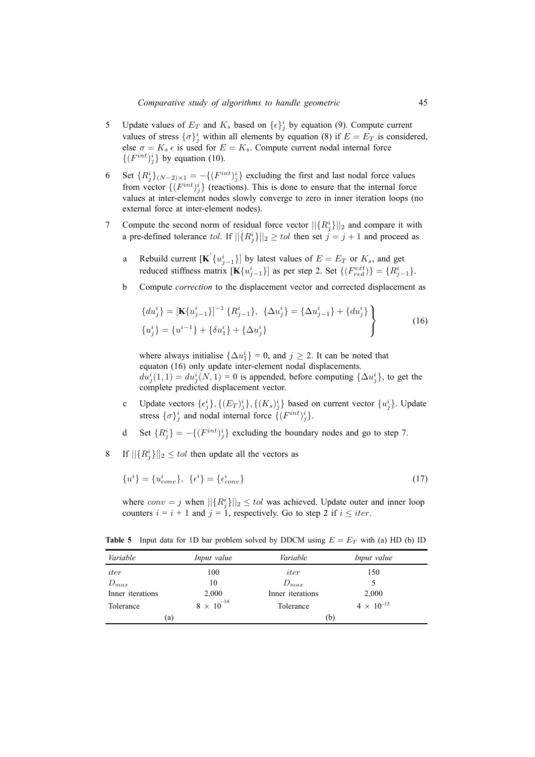- 5 Update values of  $E_T$  and  $K_s$  based on  $\{\epsilon\}_j^i$  by equation (9). Compute current values of stress  $\{\sigma\}^i_j$  within all elements by equation (8) if  $E = E_T$  is considered, else  $\sigma = K_s \epsilon$  is used for  $E = K_s$ . Compute current nodal internal force  $\{(F^{int})_j^i\}$  by equation (10).
- 6 Set  ${R_j^i}_{(N-2)\times 1} = -{F^{int}}_j^i$  excluding the first and last nodal force values from vector  $\{ (F^{int})^i_j \}$  (reactions). This is done to ensure that the internal force values at inter-element nodes slowly converge to zero in inner iteration loops (no external force at inter-element nodes).
- 7 Compute the second norm of residual force vector  $||{R_j^i||_2}$  and compare it with a pre-defined tolerance tol. If  $||{R_j^i}||_2 \geq tol$  then set  $j = j + 1$  and proceed as
	- a Rebuild current  $[\mathbf{K}'\{u_{j-1}^i\}]$  by latest values of  $E = E_T$  or  $K_s$ , and get reduced stiffness matrix  $[\mathbf{K}\{u_{j-1}^i\}]$  as per step 2. Set  $\{(F_{red}^{ext})\} = \{R_{j-1}^i\}$ .
	- b Compute *correction* to the displacement vector and corrected displacement as

$$
\{du_j^i\} = [\mathbf{K}\{u_{j-1}^i\}]^{-1} \{R_{j-1}^i\}, \ \{\Delta u_j^i\} = \{\Delta u_{j-1}^i\} + \{du_j^i\} \{u_j^i\} = \{u^{i-1}\} + \{\delta u_1^i\} + \{\Delta u_j^i\}
$$
\n(16)

where always initialise  $\{\Delta u_1^i\} = 0$ , and  $j \ge 2$ . It can be noted that equaton (16) only update inter-element nodal displacements.  $du_j^i(1,1) = du_j^i(N,1) = 0$  is appended, before computing  $\{\Delta u_j^i\}$ , to get the complete predicted displacement vector.

- c Update vectors  $\{\epsilon_j^i\}$ ,  $\{(E_T)^i_j\}$ ,  $\{(K_s)^i_j\}$  based on current vector  $\{u_j^i\}$ . Update stress  $\{\sigma\}_j^i$  and nodal internal force  $\{(F^{int})_j^i\}.$
- d Set  ${R_j^i} = -{ (F^{int})_j^i}$  excluding the boundary nodes and go to step 7.
- 8 If  $||{R_j^i}||_2 \le tol$  then update all the vectors as

$$
\{u^i\} = \{u^i_{conv}\}, \ \{\epsilon^i\} = \{\epsilon^i_{conv}\}\tag{17}
$$

where  $conv = j$  when  $||{R_j^i}||_2 \le tol$  was achieved. Update outer and inner loop counters  $i = i + 1$  and  $j = 1$ , respectively. Go to step 2 if  $i \leq iter$ .

**Table 5** Input data for 1D bar problem solved by DDCM using  $E = E_T$  with (a) HD (b) ID

| Variable         | Input value         | Variable         | Input value         |
|------------------|---------------------|------------------|---------------------|
| iter             | 100                 | iter             | 150                 |
| $D_{max}$        | 10                  | $D_{max}$        | 5                   |
| Inner iterations | 2,000               | Inner iterations | 2,000               |
| Tolerance        | $8 \times 10^{-14}$ | Tolerance        | $4 \times 10^{-15}$ |
| (a)              |                     | (b)              |                     |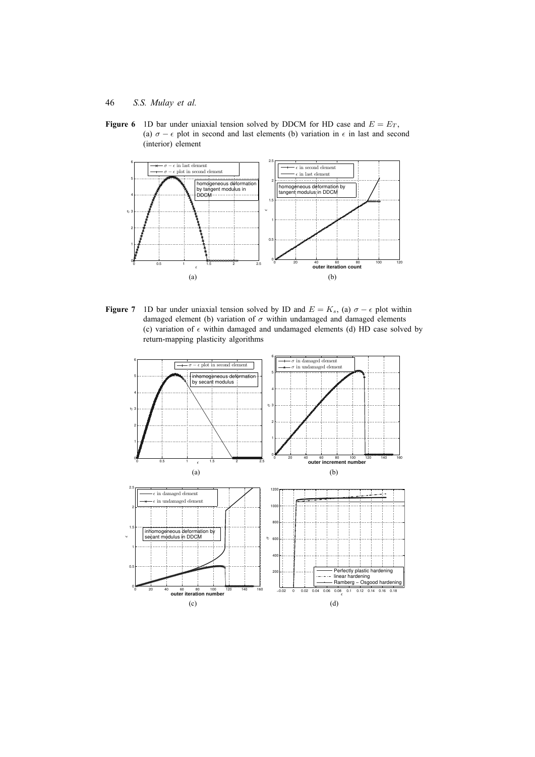

**Figure 6** 1D bar under uniaxial tension solved by DDCM for HD case and  $E = E_T$ , (a)  $\sigma - \epsilon$  plot in second and last elements (b) variation in  $\epsilon$  in last and second (interior) element



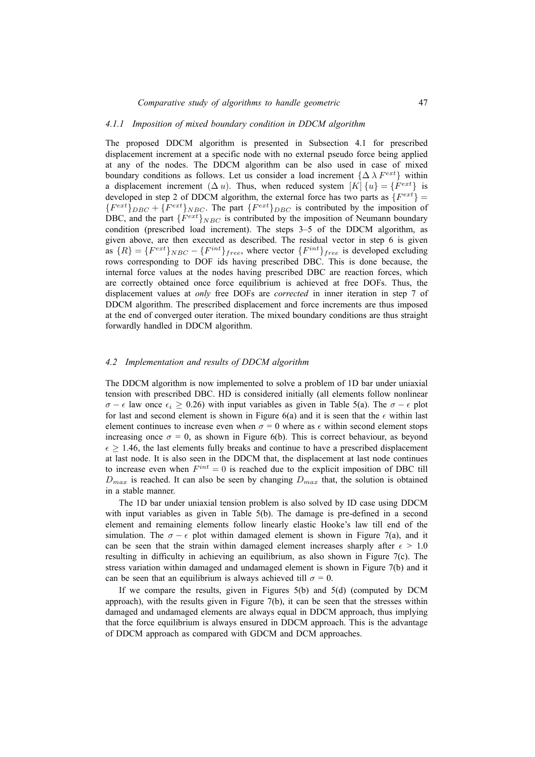### *4.1.1 Imposition of mixed boundary condition in DDCM algorithm*

The proposed DDCM algorithm is presented in Subsection 4.1 for prescribed displacement increment at a specific node with no external pseudo force being applied at any of the nodes. The DDCM algorithm can be also used in case of mixed boundary conditions as follows. Let us consider a load increment  $\{\Delta \lambda F^{ext}\}\$  within a displacement increment  $(\Delta u)$ . Thus, when reduced system  $[K]$   $\{u\} = \{F^{ext}\}\$ is developed in step 2 of DDCM algorithm, the external force has two parts as  $\{F^{ext}\}$  =  ${F^{ext}}_{DBC} + {F^{ext}}_{NBC}$ . The part  ${F^{ext}}_{DBC}$  is contributed by the imposition of DBC, and the part  ${F^{ext}}_{NBC}$  is contributed by the imposition of Neumann boundary condition (prescribed load increment). The steps 3–5 of the DDCM algorithm, as given above, are then executed as described. The residual vector in step 6 is given as  $\{R\} = \{F^{ext}\}_{NBC} - \{F^{int}\}_{free}$ , where vector  $\{F^{int}\}_{free}$  is developed excluding rows corresponding to DOF ids having prescribed DBC. This is done because, the internal force values at the nodes having prescribed DBC are reaction forces, which are correctly obtained once force equilibrium is achieved at free DOFs. Thus, the displacement values at *only* free DOFs are *corrected* in inner iteration in step 7 of DDCM algorithm. The prescribed displacement and force increments are thus imposed at the end of converged outer iteration. The mixed boundary conditions are thus straight forwardly handled in DDCM algorithm.

### *4.2 Implementation and results of DDCM algorithm*

The DDCM algorithm is now implemented to solve a problem of 1D bar under uniaxial tension with prescribed DBC. HD is considered initially (all elements follow nonlinear  $\sigma - \epsilon$  law once  $\epsilon_i \ge 0.26$ ) with input variables as given in Table 5(a). The  $\sigma - \epsilon$  plot for last and second element is shown in Figure 6(a) and it is seen that the  $\epsilon$  within last element continues to increase even when  $\sigma = 0$  where as  $\epsilon$  within second element stops increasing once  $\sigma = 0$ , as shown in Figure 6(b). This is correct behaviour, as beyond  $\epsilon \geq 1.46$ , the last elements fully breaks and continue to have a prescribed displacement at last node. It is also seen in the DDCM that, the displacement at last node continues to increase even when  $F^{int} = 0$  is reached due to the explicit imposition of DBC till  $D_{max}$  is reached. It can also be seen by changing  $D_{max}$  that, the solution is obtained in a stable manner.

The 1D bar under uniaxial tension problem is also solved by ID case using DDCM with input variables as given in Table 5(b). The damage is pre-defined in a second element and remaining elements follow linearly elastic Hooke's law till end of the simulation. The  $\sigma - \epsilon$  plot within damaged element is shown in Figure 7(a), and it can be seen that the strain within damaged element increases sharply after  $\epsilon > 1.0$ resulting in difficulty in achieving an equilibrium, as also shown in Figure 7(c). The stress variation within damaged and undamaged element is shown in Figure 7(b) and it can be seen that an equilibrium is always achieved till  $\sigma = 0$ .

If we compare the results, given in Figures  $5(b)$  and  $5(d)$  (computed by DCM approach), with the results given in Figure 7(b), it can be seen that the stresses within damaged and undamaged elements are always equal in DDCM approach, thus implying that the force equilibrium is always ensured in DDCM approach. This is the advantage of DDCM approach as compared with GDCM and DCM approaches.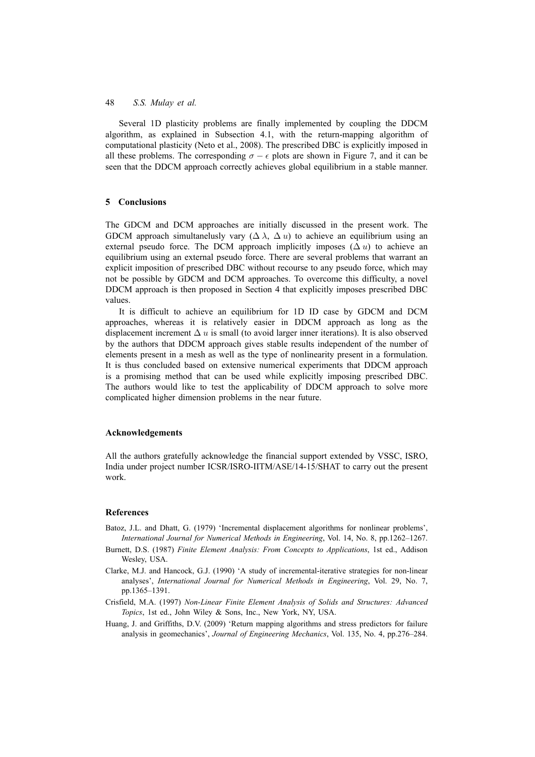Several 1D plasticity problems are finally implemented by coupling the DDCM algorithm, as explained in Subsection 4.1, with the return-mapping algorithm of computational plasticity (Neto et al., 2008). The prescribed DBC is explicitly imposed in all these problems. The corresponding  $\sigma - \epsilon$  plots are shown in Figure 7, and it can be seen that the DDCM approach correctly achieves global equilibrium in a stable manner.

### **5 Conclusions**

The GDCM and DCM approaches are initially discussed in the present work. The GDCM approach simultanelusly vary  $(\Delta \lambda, \Delta u)$  to achieve an equilibrium using an external pseudo force. The DCM approach implicitly imposes  $(\Delta u)$  to achieve an equilibrium using an external pseudo force. There are several problems that warrant an explicit imposition of prescribed DBC without recourse to any pseudo force, which may not be possible by GDCM and DCM approaches. To overcome this difficulty, a novel DDCM approach is then proposed in Section 4 that explicitly imposes prescribed DBC values.

It is difficult to achieve an equilibrium for 1D ID case by GDCM and DCM approaches, whereas it is relatively easier in DDCM approach as long as the displacement increment  $\Delta u$  is small (to avoid larger inner iterations). It is also observed by the authors that DDCM approach gives stable results independent of the number of elements present in a mesh as well as the type of nonlinearity present in a formulation. It is thus concluded based on extensive numerical experiments that DDCM approach is a promising method that can be used while explicitly imposing prescribed DBC. The authors would like to test the applicability of DDCM approach to solve more complicated higher dimension problems in the near future.

#### **Acknowledgements**

All the authors gratefully acknowledge the financial support extended by VSSC, ISRO, India under project number ICSR/ISRO-IITM/ASE/14-15/SHAT to carry out the present work.

#### **References**

- Batoz, J.L. and Dhatt, G. (1979) 'Incremental displacement algorithms for nonlinear problems', *International Journal for Numerical Methods in Engineering*, Vol. 14, No. 8, pp.1262–1267.
- Burnett, D.S. (1987) *Finite Element Analysis: From Concepts to Applications*, 1st ed., Addison Wesley, USA.
- Clarke, M.J. and Hancock, G.J. (1990) 'A study of incremental-iterative strategies for non-linear analyses', *International Journal for Numerical Methods in Engineering*, Vol. 29, No. 7, pp.1365–1391.
- Crisfield, M.A. (1997) *Non-Linear Finite Element Analysis of Solids and Structures: Advanced Topics*, 1st ed., John Wiley & Sons, Inc., New York, NY, USA.
- Huang, J. and Griffiths, D.V. (2009) 'Return mapping algorithms and stress predictors for failure analysis in geomechanics', *Journal of Engineering Mechanics*, Vol. 135, No. 4, pp.276–284.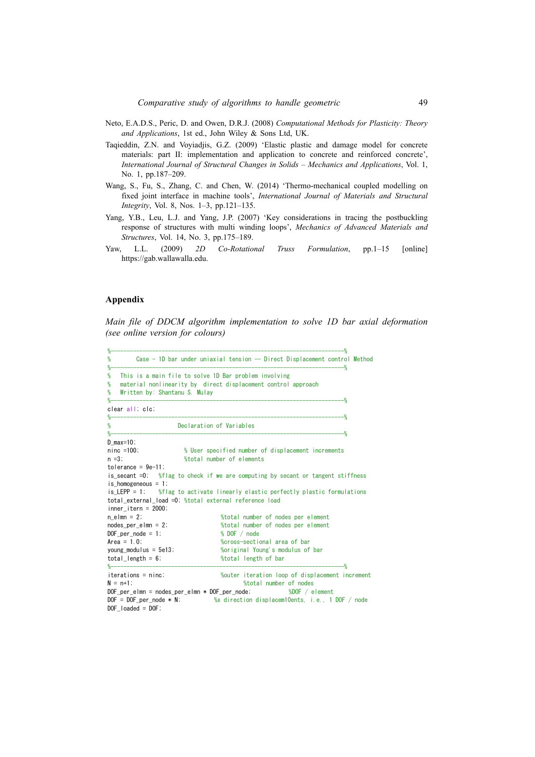- Neto, E.A.D.S., Peric, D. and Owen, D.R.J. (2008) *Computational Methods for Plasticity: Theory and Applications*, 1st ed., John Wiley & Sons Ltd, UK.
- Taqieddin, Z.N. and Voyiadjis, G.Z. (2009) 'Elastic plastic and damage model for concrete materials: part II: implementation and application to concrete and reinforced concrete', *International Journal of Structural Changes in Solids – Mechanics and Applications*, Vol. 1, No. 1, pp.187–209.
- Wang, S., Fu, S., Zhang, C. and Chen, W. (2014) 'Thermo-mechanical coupled modelling on fixed joint interface in machine tools', *International Journal of Materials and Structural Integrity*, Vol. 8, Nos. 1–3, pp.121–135.
- Yang, Y.B., Leu, L.J. and Yang, J.P. (2007) 'Key considerations in tracing the postbuckling response of structures with multi winding loops', *Mechanics of Advanced Materials and Structures*, Vol. 14, No. 3, pp.175–189.
- Yaw, L.L. (2009) *2D Co-Rotational Truss Formulation*, pp.1–15 [online] https://gab.wallawalla.edu.

### **Appendix**

*Main file of DDCM algorithm implementation to solve 1D bar axial deformation* (see online version for colours)

| %                                                                                                                                |                                                                                  |  |  |  |
|----------------------------------------------------------------------------------------------------------------------------------|----------------------------------------------------------------------------------|--|--|--|
| %<br>%                                                                                                                           | Case - 1D bar under uniaxial tension -- Direct Displacement control Method       |  |  |  |
| This is a main file to solve 1D Bar problem involving<br>%<br>%<br>%<br>Written by: Shantanu S. Mulay<br>$% -$<br>______________ | material nonlinearity by direct displacement control approach                    |  |  |  |
| clear all; clc;<br>$%-----$                                                                                                      |                                                                                  |  |  |  |
| Declaration of Variables<br>%                                                                                                    | $-$ %                                                                            |  |  |  |
| $D$ max=10;                                                                                                                      |                                                                                  |  |  |  |
| $ninc = 100$ ;                                                                                                                   | % User specified number of displacement increments                               |  |  |  |
| $n = 3$ :                                                                                                                        | %total number of elements                                                        |  |  |  |
| $tolerance = 9e-11$ ;                                                                                                            |                                                                                  |  |  |  |
|                                                                                                                                  | is secant =0; %flag to check if we are computing by secant or tangent stiffness  |  |  |  |
| is homogeneous $= 1$ ;                                                                                                           |                                                                                  |  |  |  |
| is_LEPP = 1; %flag to activate linearly elastic perfectly plastic formulations                                                   |                                                                                  |  |  |  |
| total external load =0; %total external reference load                                                                           |                                                                                  |  |  |  |
| inner itern = $2000$ ;                                                                                                           |                                                                                  |  |  |  |
| $n$ elmn = 2;                                                                                                                    | %total number of nodes per element                                               |  |  |  |
| nodes per elmn = $2$ ;                                                                                                           | %total number of nodes per element                                               |  |  |  |
| DOF per node = $1$ ;                                                                                                             | % DOF / node                                                                     |  |  |  |
| $Area = 1.0$ ;                                                                                                                   | %cross-sectional area of bar                                                     |  |  |  |
| young modulus = $5e13$ ;                                                                                                         | %original Young's modulus of bar                                                 |  |  |  |
| total length = $6$ ;                                                                                                             | %total length of bar                                                             |  |  |  |
| $%-----$                                                                                                                         | -%                                                                               |  |  |  |
| $iterations = nine$                                                                                                              | %outer iteration loop of displacement increment                                  |  |  |  |
| $N = n+1$ :                                                                                                                      | %total number of nodes                                                           |  |  |  |
| $DOF_{per\_elmn} = nodes_{per\_elmn} * DOF_{per\_node};$ %DOF / element                                                          |                                                                                  |  |  |  |
|                                                                                                                                  | $DOF = DOF$ per node $* N$ ; $%$ % direction displacem10ents, i.e., 1 DOF / node |  |  |  |
| $DOF$ loaded = $DOF$ ;                                                                                                           |                                                                                  |  |  |  |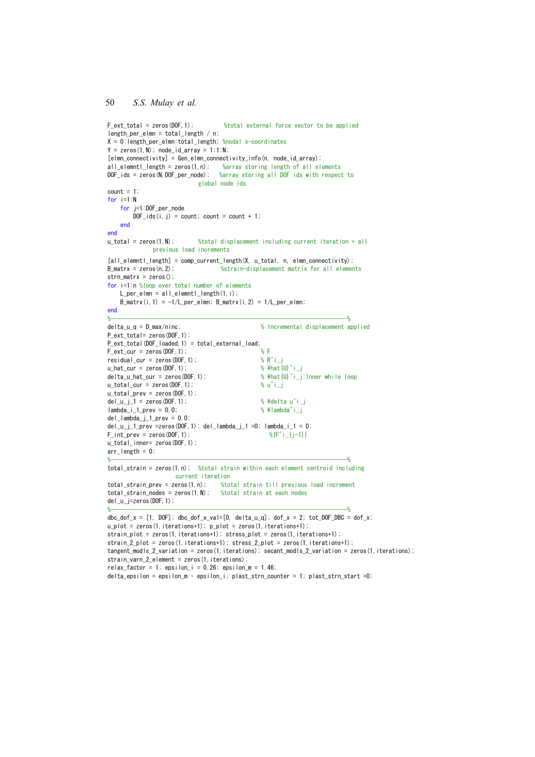```
%total external force vector to be applied
F ext total = zeros (DOF 1):
length_per_elmn = total_length / n:
X = 0: length_per_elmn: total_length; %nodal x-coordinates
Y = zeros(1, N); node_id_array = 1:1:N;
[elmn_connectivity] = Gen_elmn_connectivity_info(n, node_id_array);
all element length = zeros(1, n);<br>\frac{3}{2} \frac{3}{2} \frac{1}{2} \frac{1}{2} \frac{1}{2} \frac{1}{2} \frac{1}{2} \frac{1}{2} \frac{1}{2} \frac{1}{2} \frac{1}{2} \frac{1}{2} \frac{1}{2} \frac{1}{2} \frac{1}{2} \frac{1}{2} \frac{1}{2} \frac{1}{2} \frac{1}{2global node ids
count = 1;
for i=1:Nfor j=1:DOF_per_node
         DOF\_ids(i, j) = count; count = count + 1;
    end
end
u_{\text{total}} = \text{zeros}(1, N);
                               %total displacement including current iteration + all
              previous load increments
[all\_element\_length] = comp\_current\_length(X, u\_total, n, elmn\_connectivity);
B matrx = zeros (n 2):
                                      %strain-displacement matrix for all elements
strn_matrix = zeros()for i=1:n %loop over total number of elements
    L per elmn = all elemntl length(1, i);
    B_m \text{atrx}(i, 1) = -1/L_p \text{er\_elmn}; B_m \text{atrx}(i, 2) = 1/L_p \text{er\_elmn};
end
delta_u_q = D_max/ninc% Incremental displacement applied
P_{ext_{total} = zeros(D0F, 1);
P ext total (DOF loaded, 1) = total external load;
F_{ext\_cur} = zeros (DOF, 1) ;
                                                      % F
residual cur = zeros(D0F, 1);
                                                       % R^iu_hat_cur = zeros (DOF, 1);
                                                       % ¥hat[U]<sup>\hat{i}</sup>
                                                      % ¥hat {U}^i i: Inner while loop
delta u hat cur = zeros(DOF, 1);
u_{\text{total\_cur}} = zeros (DOF, 1);
                                                       %u^i_j
u_{\text{total\_prev}} = zeros (DOF, 1);
                                                       % ¥delta u^i i
del u i 1 =zeros (DOF, 1);
lambda_i_1_2_1_2 = 0.0;
                                                       %¥lambda^i_j
del<sub>-</sub>lambda_j<sub>-j</sub>1<sub>-</sub>prev = 0.0;
del_u_j_1_prev =zeros(DOF, 1); del_lambda_j_1 =0; lambda_i_1 = 0;
F_{\text{int\_prev}} = zeros (DOF, 1);
                                                          \frac{1}{2} \{F^{\wedge}i_{\perp}\{j-1\}\}u_total_inner= zeros (DOF, 1);
arr length = 0;
total_{\text{strain}} = zeros(1, n); %total strain within each element centroid including
                       current iteration
total_strain_prev = zeros(1, n): %total strain till previous load increment
\text{total}\_ \text{strain}\_nodes = zeros(1, N); %total strain at each nodes
del_u_j=zeros(DOF, 1);
dbc dof x = [1, DOF]; dbc dof x val=[0, delta u q]; dof x = 2; tot DOF DBC = dof x;
u_plot = zeros(1, iterations+1); p_plot = zeros(1, iterations+1);
strain_plot = zeros(1, iterations+1); stress_plot = zeros(1, iterations+1);
strain_2_plot = zeros(1, iterations+1); stress_2_plot = zeros(1, iterations+1);
tangent_modls_2_variation = zeros(1, iterations); secant_modls_2_variation = zeros(1, iterations);
strain_varn_2_element = zeros(1, iterations);
relax_factor = 1; epsilon_i = 0.26; epsilon_m = 1.46;
delta_epsilon = epsilon_m - epsilon_i; plast_strn_counter = 1; plast_strn_start =0;
```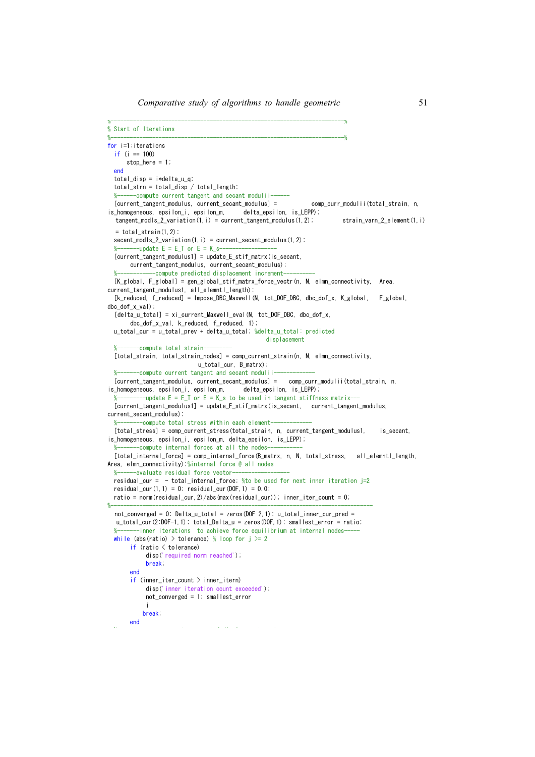```
% Start of Iterations
for i=1: iterations
  if (i == 100)stop here = 1:
  end
 total\_disp = i *delta\_u_q;total strn = total disp / total length;
  %------compute current tangent and secant modulii-
  [current_tangent_modulus, current_secant_modulus] =
                                                               comp_curr_modulii(total_strain, n,
is_homogeneous, epsilon_i, epsilon_m, delta_epsilon, is_LEPP);
  tangent_modls_2variation(1, i) = current_tangent_modulus(1, 2);
                                                                          strain_varn_2_element(1,i)
  = total_{strain}(1, 2);
 secant_modls_2_variation(1, i) = current_secant_modulus(1, 2);
       ----update E = E_T or E = K_s-
  [current_tangent_modulus1] = update_E_stif_matrx(is_secant,
      current tangent modulus, current secant modulus);
             --compute predicted displacement increment-
  [K_g | oba], F_g | oba] = gen_global_stif_matrx_force_vectr(n, N, elmn_connectivity, Area,
current_tangent_modulus1, all_elemntl_length);
  [k_reduced, f_reduced] = Impose_DBC_Maxwell(N, tot_DOF_DBC, dbc_dof_x, K_global, F_global,
dbc dof x val);
  [delta_u_total] = xi_current_Maxwell_eval (N, tot_DOF_DBC, dbc_dof_x,
      dbc dof x val, k reduced, f reduced, 1);
 u_total_cur = u_total_prev + delta_u_total; %delta_u_total: predicted
                                                 displacement
   -------compute total strain----
 [total_strain, total_strain_nodes] = comp_current_strain(n, N, elmn_connectivity,
                           u_total_cur, B_matrx);
        --compute current tangent and secant modulii
  [current_tangent_modulus, current_secant_modulus] = comp_curr_modulii(total_strain, n,
is_homogeneous, epsilon_i, epsilon_m,   delta_epsilon, is LEPP);
  %-----------update E = E_T or E = K_s to be used in tangent stiffness matrix--
  [current_tangent_modulus1] = update_E_stif_matrx(is_secant, current_tangent_modulus,
current secant modulus);
  %--------compute total stress within each element-
  [total_stress] = comp_current_stress(total_strain, n, current_tangent_modulus1,
                                                                                   is secant.
is homogeneous, epsilon i, epsilon m, delta epsilon, is LEPP);
  %-------compute internal forces at all the nodes-
  [total_internal_force] = comp_internal_force(B_matrx, n, N, total_stress, all_elemntl_length,
Area, elmn_connectivity);%internal force @ all nodes
       --evaluate residual force vector-
 \frac{0}{2} -
  residual_cur = - total_internal_force; %to be used for next inner iteration j=2
  residual_cur(1, 1) = 0; residual_cur(DOF, 1) = 0.0;
 ratio = norm(residual_cur, 2)/abs(max(residual_cur)); inner_iter_count = 0;
  not_{cor} = 0; Delta_u_total = zeros(DOF-2,1); u_total_inner_cur_pred =
  u_total_cur(2:DOF-1,1); total_Delta_u = zeros(DOF,1); smallest_error = ratio;
       ----inner iterations to achieve force equilibrium at internal nodes-
  while (abs(ratio) > tolerance) % loop for j \ge 2if (ratio < tolerance)disp('required norm reached').
           break:
       end
       if (inner_iter_count > inner_itern)
           disp('inner iteration count exceeded').
           not_{converged = 1; smallest_error
          break.
      end
```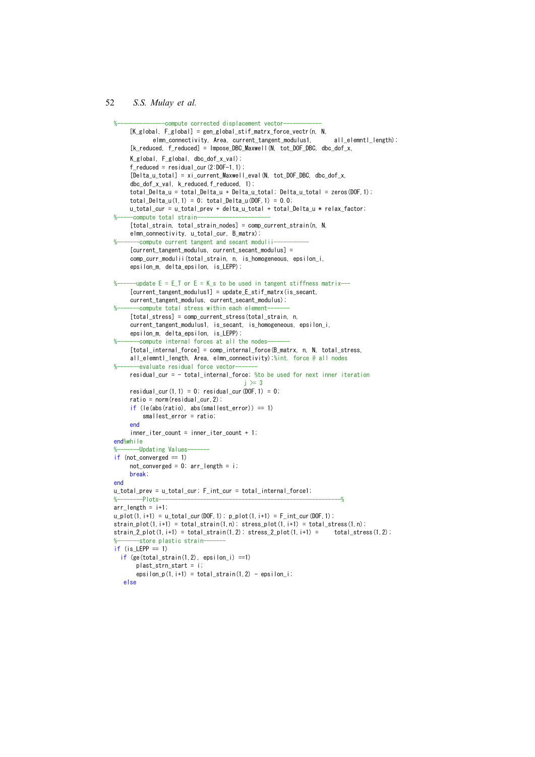```
-compute corrected displacement vector-
     [K g | oba], F g[oba] = gen g[oba] stif matrx force vectr(n, N)elmn_connectivity, Area, current_tangent_modulus1,
                                                                            all elemntl length):
     [k_reduced, f_reduced] = Impose_DBC_Maxwell(N, tot_DOF_DBC, dbc_dof_x,
     K_global, F_global, dbc_dof_x_val);
     f_{reduced} = residual_cur(2:DOF-1.1);
     [Delta_u_total] = xi_current_Maxwell_eval(N, tot_DOF_DBC, dbc_dof_x,
     dbc_dof_x_val, k_reduced, f_reduced, 1);
     \overline{a} = \overline{a} = \overline{a} = \overline{b} = \overline{c} = \overline{c} = \overline{c} = \overline{c} = \overline{c} = \overline{c} = \overline{c} = \overline{c} = \overline{c} = \overline{c} = \overline{c} = \overline{c} = \overline{c} = \overline{c} = \overline{c} = \overline{c} = total_Delta_u(1,1) = 0; total_Delta_u(DOF,1) = 0.0;
     u_total_cur = u_total_prev + delta_u_total + total_Delta_u * relax_factor;
     -compute total strain-
     [total strain, total_strain_nodes] = comp_current_strain(n, N,
     elmn_connectivity, u_total_cur, B_matrx);
        -compute current tangent and secant modulii-
     [current_tangent_modulus, current_secant_modulus] =
     comp_curr_modulii(total_strain, n, is_homogeneous, epsilon_i,
     epsilon_m, delta_epsilon, is_LEPP);
       -update E = E T or E = K s to be used in tangent stiffness matrix---
     [current\_tangent_modulus1] = update_E_s tif_matrix(is\_secant,current_tangent_modulus, current_secant_modulus);
        -compute total stress within each element-
     [total_stress] = comp_current_stress(total_strain, n,
     current_tangent_modulus1, is_secant, is_homogeneous, epsilon_i,
     epsilon m, delta epsilon, is LEPP);
        -compute internal forces at all the nodes-
     [total_internal_force] = comp_internal_force(B_matrx, n, N, total_stress,
     all_elemntl_length, Area, elmn_connectivity);%int. force @ all nodes
      ---evaluate residual force vector-
     residual_cur = - total_internal_force; % to be used for next inner iteration
                                             j \geq 3residual cur(1, 1) = 0; residual cur(DOF, 1) = 0;
     ratio = norm(residual_cur, 2);
     if (le(abs(ratio), abs(smallest_error)) == 1)smallest_error = ratio;
     end
     inner\_iter\_count = inner\_iter\_count + 1;
end%while
     ----Updating Values
if (not\_converged == 1)not_{converged} = 0; arr_{length} = i;
     break.
end
u_total_prev = u_total_cur; F_int_cur = total_internal_force1;
                                                                               \overline{a}-Plotsarr length = i+1;
u_plot(1, i+1) = u_total_ccur(D0F, 1); p_plot(1, i+1) = F_iint_ccur(D0F, 1);strain_plot(1, i+1) = total_strain(1, n); stress_plot(1, i+1) = total_stress(1, n);
strain_2_plot(1, i+1) = total_strain(1, 2); stress_2_plot(1, i+1) = total_stress(1, 2);
        -store plastic strain-
if (is_LEPP == 1)if (ge (total strain(1, 2), epsilon) = 1)plast strn start = i;
       epsilon_p(1, i+1) = total_strain(1, 2) - epsilon_i;
   معام
```